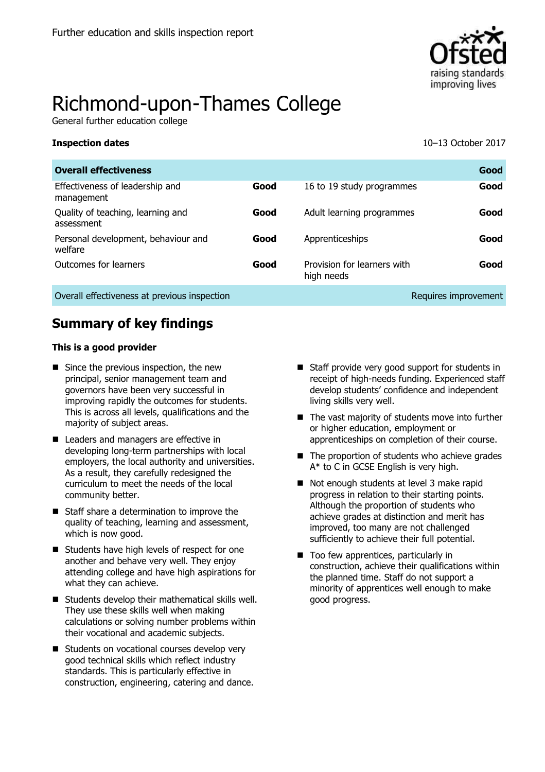

# Richmond-upon-Thames College

General further education college

**Inspection dates** 10–13 October 2017

| <b>Overall effectiveness</b>                    |      |                                           | Good                 |
|-------------------------------------------------|------|-------------------------------------------|----------------------|
| Effectiveness of leadership and<br>management   | Good | 16 to 19 study programmes                 | Good                 |
| Quality of teaching, learning and<br>assessment | Good | Adult learning programmes                 | Good                 |
| Personal development, behaviour and<br>welfare  | Good | Apprenticeships                           | Good                 |
| Outcomes for learners                           | Good | Provision for learners with<br>high needs | Good                 |
| Overall effectiveness at previous inspection    |      |                                           | Requires improvement |

## **Summary of key findings**

#### **This is a good provider**

- Since the previous inspection, the new principal, senior management team and governors have been very successful in improving rapidly the outcomes for students. This is across all levels, qualifications and the majority of subject areas.
- Leaders and managers are effective in developing long-term partnerships with local employers, the local authority and universities. As a result, they carefully redesigned the curriculum to meet the needs of the local community better.
- Staff share a determination to improve the quality of teaching, learning and assessment, which is now good.
- Students have high levels of respect for one another and behave very well. They enjoy attending college and have high aspirations for what they can achieve.
- $\blacksquare$  Students develop their mathematical skills well. They use these skills well when making calculations or solving number problems within their vocational and academic subjects.
- Students on vocational courses develop very good technical skills which reflect industry standards. This is particularly effective in construction, engineering, catering and dance.
- Staff provide very good support for students in receipt of high-needs funding. Experienced staff develop students' confidence and independent living skills very well.
- The vast majority of students move into further or higher education, employment or apprenticeships on completion of their course.
- $\blacksquare$  The proportion of students who achieve grades A\* to C in GCSE English is very high.
- Not enough students at level 3 make rapid progress in relation to their starting points. Although the proportion of students who achieve grades at distinction and merit has improved, too many are not challenged sufficiently to achieve their full potential.
- Too few apprentices, particularly in construction, achieve their qualifications within the planned time. Staff do not support a minority of apprentices well enough to make good progress.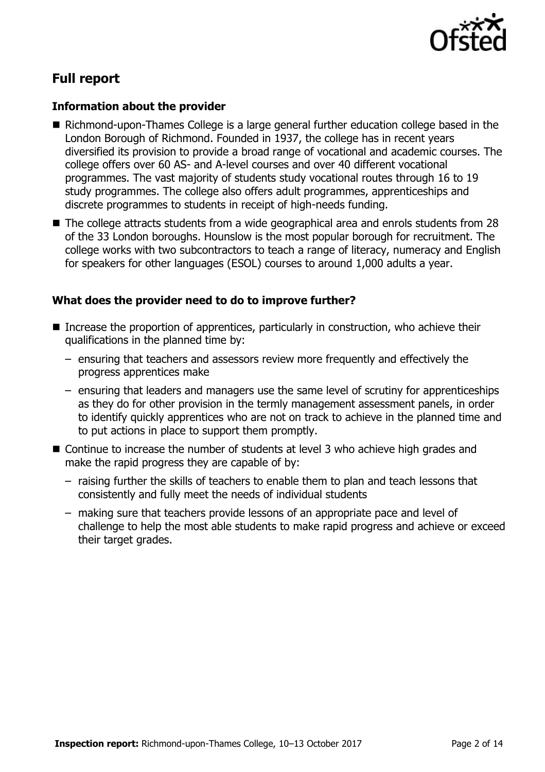

## **Full report**

## **Information about the provider**

- Richmond-upon-Thames College is a large general further education college based in the London Borough of Richmond. Founded in 1937, the college has in recent years diversified its provision to provide a broad range of vocational and academic courses. The college offers over 60 AS- and A-level courses and over 40 different vocational programmes. The vast majority of students study vocational routes through 16 to 19 study programmes. The college also offers adult programmes, apprenticeships and discrete programmes to students in receipt of high-needs funding.
- The college attracts students from a wide geographical area and enrols students from 28 of the 33 London boroughs. Hounslow is the most popular borough for recruitment. The college works with two subcontractors to teach a range of literacy, numeracy and English for speakers for other languages (ESOL) courses to around 1,000 adults a year.

## **What does the provider need to do to improve further?**

- Increase the proportion of apprentices, particularly in construction, who achieve their qualifications in the planned time by:
	- ensuring that teachers and assessors review more frequently and effectively the progress apprentices make
	- ensuring that leaders and managers use the same level of scrutiny for apprenticeships as they do for other provision in the termly management assessment panels, in order to identify quickly apprentices who are not on track to achieve in the planned time and to put actions in place to support them promptly.
- Continue to increase the number of students at level 3 who achieve high grades and make the rapid progress they are capable of by:
	- raising further the skills of teachers to enable them to plan and teach lessons that consistently and fully meet the needs of individual students
	- making sure that teachers provide lessons of an appropriate pace and level of challenge to help the most able students to make rapid progress and achieve or exceed their target grades.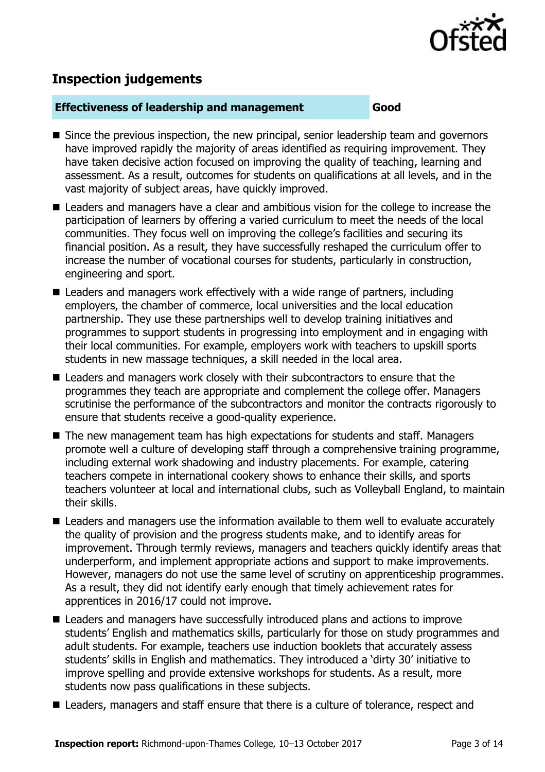

## **Inspection judgements**

#### **Effectiveness of leadership and management Good**

- Since the previous inspection, the new principal, senior leadership team and governors have improved rapidly the majority of areas identified as requiring improvement. They have taken decisive action focused on improving the quality of teaching, learning and assessment. As a result, outcomes for students on qualifications at all levels, and in the vast majority of subject areas, have quickly improved.
- Leaders and managers have a clear and ambitious vision for the college to increase the participation of learners by offering a varied curriculum to meet the needs of the local communities. They focus well on improving the college's facilities and securing its financial position. As a result, they have successfully reshaped the curriculum offer to increase the number of vocational courses for students, particularly in construction, engineering and sport.
- Leaders and managers work effectively with a wide range of partners, including employers, the chamber of commerce, local universities and the local education partnership. They use these partnerships well to develop training initiatives and programmes to support students in progressing into employment and in engaging with their local communities. For example, employers work with teachers to upskill sports students in new massage techniques, a skill needed in the local area.
- Leaders and managers work closely with their subcontractors to ensure that the programmes they teach are appropriate and complement the college offer. Managers scrutinise the performance of the subcontractors and monitor the contracts rigorously to ensure that students receive a good-quality experience.
- The new management team has high expectations for students and staff. Managers promote well a culture of developing staff through a comprehensive training programme, including external work shadowing and industry placements. For example, catering teachers compete in international cookery shows to enhance their skills, and sports teachers volunteer at local and international clubs, such as Volleyball England, to maintain their skills.
- Leaders and managers use the information available to them well to evaluate accurately the quality of provision and the progress students make, and to identify areas for improvement. Through termly reviews, managers and teachers quickly identify areas that underperform, and implement appropriate actions and support to make improvements. However, managers do not use the same level of scrutiny on apprenticeship programmes. As a result, they did not identify early enough that timely achievement rates for apprentices in 2016/17 could not improve.
- Leaders and managers have successfully introduced plans and actions to improve students' English and mathematics skills, particularly for those on study programmes and adult students. For example, teachers use induction booklets that accurately assess students' skills in English and mathematics. They introduced a 'dirty 30' initiative to improve spelling and provide extensive workshops for students. As a result, more students now pass qualifications in these subjects.
- Leaders, managers and staff ensure that there is a culture of tolerance, respect and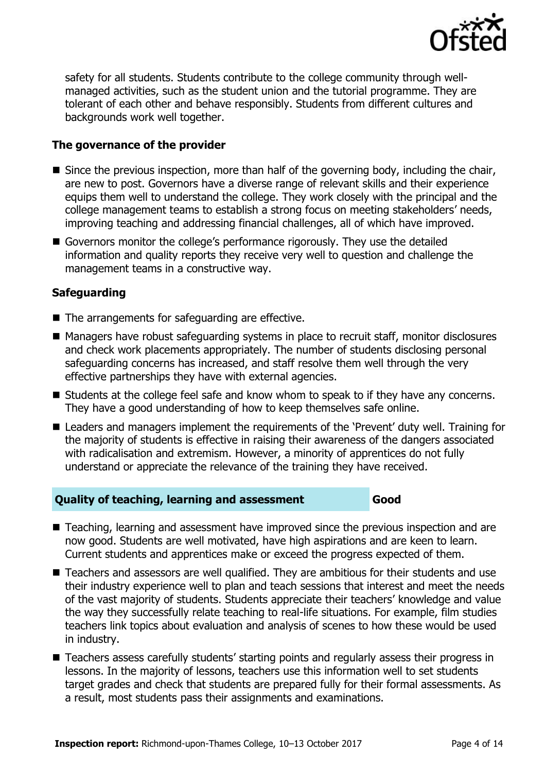

safety for all students. Students contribute to the college community through wellmanaged activities, such as the student union and the tutorial programme. They are tolerant of each other and behave responsibly. Students from different cultures and backgrounds work well together.

## **The governance of the provider**

- Since the previous inspection, more than half of the governing body, including the chair, are new to post. Governors have a diverse range of relevant skills and their experience equips them well to understand the college. They work closely with the principal and the college management teams to establish a strong focus on meeting stakeholders' needs, improving teaching and addressing financial challenges, all of which have improved.
- Governors monitor the college's performance rigorously. They use the detailed information and quality reports they receive very well to question and challenge the management teams in a constructive way.

## **Safeguarding**

- $\blacksquare$  The arrangements for safeguarding are effective.
- Managers have robust safeguarding systems in place to recruit staff, monitor disclosures and check work placements appropriately. The number of students disclosing personal safeguarding concerns has increased, and staff resolve them well through the very effective partnerships they have with external agencies.
- Students at the college feel safe and know whom to speak to if they have any concerns. They have a good understanding of how to keep themselves safe online.
- Leaders and managers implement the requirements of the 'Prevent' duty well. Training for the majority of students is effective in raising their awareness of the dangers associated with radicalisation and extremism. However, a minority of apprentices do not fully understand or appreciate the relevance of the training they have received.

## **Quality of teaching, learning and assessment Good**

- Teaching, learning and assessment have improved since the previous inspection and are now good. Students are well motivated, have high aspirations and are keen to learn. Current students and apprentices make or exceed the progress expected of them.
- Teachers and assessors are well qualified. They are ambitious for their students and use their industry experience well to plan and teach sessions that interest and meet the needs of the vast majority of students. Students appreciate their teachers' knowledge and value the way they successfully relate teaching to real-life situations. For example, film studies teachers link topics about evaluation and analysis of scenes to how these would be used in industry.
- Teachers assess carefully students' starting points and regularly assess their progress in lessons. In the majority of lessons, teachers use this information well to set students target grades and check that students are prepared fully for their formal assessments. As a result, most students pass their assignments and examinations.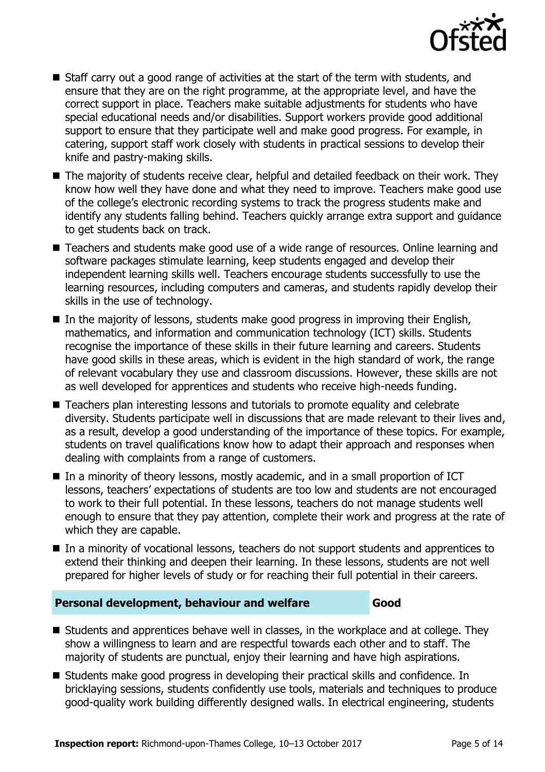

- $\blacksquare$  Staff carry out a good range of activities at the start of the term with students, and ensure that they are on the right programme, at the appropriate level, and have the correct support in place. Teachers make suitable adjustments for students who have special educational needs and/or disabilities. Support workers provide good additional support to ensure that they participate well and make good progress. For example, in catering, support staff work closely with students in practical sessions to develop their knife and pastry-making skills.
- The majority of students receive clear, helpful and detailed feedback on their work. They know how well they have done and what they need to improve. Teachers make good use of the college's electronic recording systems to track the progress students make and identify any students falling behind. Teachers quickly arrange extra support and guidance to get students back on track.
- Teachers and students make good use of a wide range of resources. Online learning and software packages stimulate learning, keep students engaged and develop their independent learning skills well. Teachers encourage students successfully to use the learning resources, including computers and cameras, and students rapidly develop their skills in the use of technology.
- $\blacksquare$  In the majority of lessons, students make good progress in improving their English, mathematics, and information and communication technology (ICT) skills. Students recognise the importance of these skills in their future learning and careers. Students have good skills in these areas, which is evident in the high standard of work, the range of relevant vocabulary they use and classroom discussions. However, these skills are not as well developed for apprentices and students who receive high-needs funding.
- Teachers plan interesting lessons and tutorials to promote equality and celebrate diversity. Students participate well in discussions that are made relevant to their lives and, as a result, develop a good understanding of the importance of these topics. For example, students on travel qualifications know how to adapt their approach and responses when dealing with complaints from a range of customers.
- In a minority of theory lessons, mostly academic, and in a small proportion of ICT lessons, teachers' expectations of students are too low and students are not encouraged to work to their full potential. In these lessons, teachers do not manage students well enough to ensure that they pay attention, complete their work and progress at the rate of which they are capable.
- In a minority of vocational lessons, teachers do not support students and apprentices to extend their thinking and deepen their learning. In these lessons, students are not well prepared for higher levels of study or for reaching their full potential in their careers.

## **Personal development, behaviour and welfare Good**

- Students and apprentices behave well in classes, in the workplace and at college. They show a willingness to learn and are respectful towards each other and to staff. The majority of students are punctual, enjoy their learning and have high aspirations.
- Students make good progress in developing their practical skills and confidence. In bricklaying sessions, students confidently use tools, materials and techniques to produce good-quality work building differently designed walls. In electrical engineering, students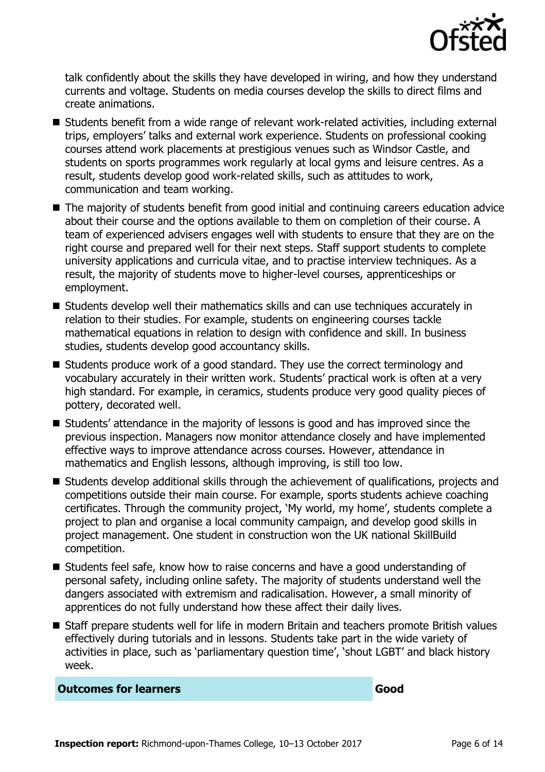

talk confidently about the skills they have developed in wiring, and how they understand currents and voltage. Students on media courses develop the skills to direct films and create animations.

- Students benefit from a wide range of relevant work-related activities, including external trips, employers' talks and external work experience. Students on professional cooking courses attend work placements at prestigious venues such as Windsor Castle, and students on sports programmes work regularly at local gyms and leisure centres. As a result, students develop good work-related skills, such as attitudes to work, communication and team working.
- The majority of students benefit from good initial and continuing careers education advice about their course and the options available to them on completion of their course. A team of experienced advisers engages well with students to ensure that they are on the right course and prepared well for their next steps. Staff support students to complete university applications and curricula vitae, and to practise interview techniques. As a result, the majority of students move to higher-level courses, apprenticeships or employment.
- Students develop well their mathematics skills and can use techniques accurately in relation to their studies. For example, students on engineering courses tackle mathematical equations in relation to design with confidence and skill. In business studies, students develop good accountancy skills.
- Students produce work of a good standard. They use the correct terminology and vocabulary accurately in their written work. Students' practical work is often at a very high standard. For example, in ceramics, students produce very good quality pieces of pottery, decorated well.
- Students' attendance in the majority of lessons is good and has improved since the previous inspection. Managers now monitor attendance closely and have implemented effective ways to improve attendance across courses. However, attendance in mathematics and English lessons, although improving, is still too low.
- Students develop additional skills through the achievement of qualifications, projects and competitions outside their main course. For example, sports students achieve coaching certificates. Through the community project, 'My world, my home', students complete a project to plan and organise a local community campaign, and develop good skills in project management. One student in construction won the UK national SkillBuild competition.
- Students feel safe, know how to raise concerns and have a good understanding of personal safety, including online safety. The majority of students understand well the dangers associated with extremism and radicalisation. However, a small minority of apprentices do not fully understand how these affect their daily lives.
- Staff prepare students well for life in modern Britain and teachers promote British values effectively during tutorials and in lessons. Students take part in the wide variety of activities in place, such as 'parliamentary question time', 'shout LGBT' and black history week.

**Outcomes for learners Good**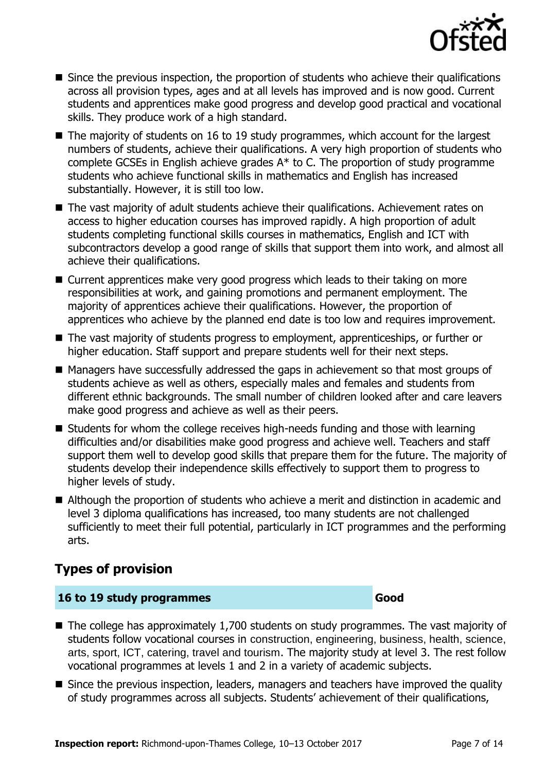

- Since the previous inspection, the proportion of students who achieve their qualifications across all provision types, ages and at all levels has improved and is now good. Current students and apprentices make good progress and develop good practical and vocational skills. They produce work of a high standard.
- $\blacksquare$  The majority of students on 16 to 19 study programmes, which account for the largest numbers of students, achieve their qualifications. A very high proportion of students who complete GCSEs in English achieve grades A\* to C. The proportion of study programme students who achieve functional skills in mathematics and English has increased substantially. However, it is still too low.
- The vast majority of adult students achieve their qualifications. Achievement rates on access to higher education courses has improved rapidly. A high proportion of adult students completing functional skills courses in mathematics, English and ICT with subcontractors develop a good range of skills that support them into work, and almost all achieve their qualifications.
- Current apprentices make very good progress which leads to their taking on more responsibilities at work, and gaining promotions and permanent employment. The majority of apprentices achieve their qualifications. However, the proportion of apprentices who achieve by the planned end date is too low and requires improvement.
- The vast majority of students progress to employment, apprenticeships, or further or higher education. Staff support and prepare students well for their next steps.
- Managers have successfully addressed the gaps in achievement so that most groups of students achieve as well as others, especially males and females and students from different ethnic backgrounds. The small number of children looked after and care leavers make good progress and achieve as well as their peers.
- $\blacksquare$  Students for whom the college receives high-needs funding and those with learning difficulties and/or disabilities make good progress and achieve well. Teachers and staff support them well to develop good skills that prepare them for the future. The majority of students develop their independence skills effectively to support them to progress to higher levels of study.
- Although the proportion of students who achieve a merit and distinction in academic and level 3 diploma qualifications has increased, too many students are not challenged sufficiently to meet their full potential, particularly in ICT programmes and the performing arts.

## **Types of provision**

## **16 to 19 study programmes Good**

- The college has approximately 1,700 students on study programmes. The vast majority of students follow vocational courses in construction, engineering, business, health, science, arts, sport, ICT, catering, travel and tourism. The majority study at level 3. The rest follow vocational programmes at levels 1 and 2 in a variety of academic subjects.
- Since the previous inspection, leaders, managers and teachers have improved the quality of study programmes across all subjects. Students' achievement of their qualifications,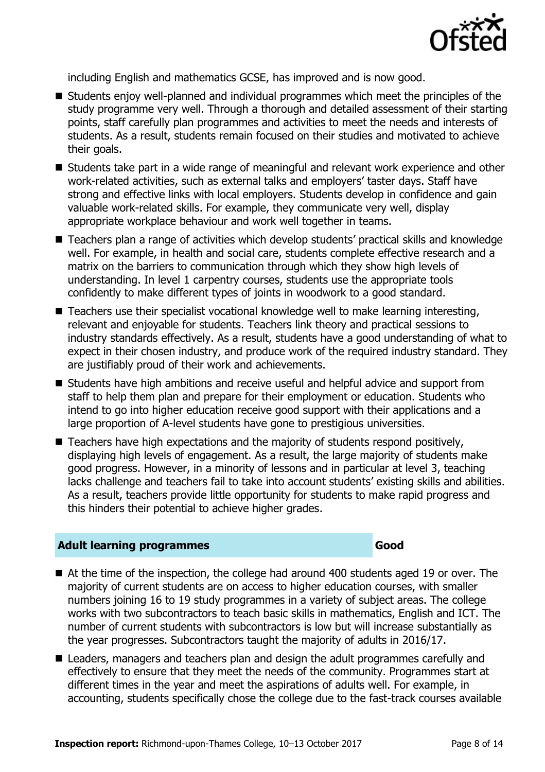

including English and mathematics GCSE, has improved and is now good.

- Students enjoy well-planned and individual programmes which meet the principles of the study programme very well. Through a thorough and detailed assessment of their starting points, staff carefully plan programmes and activities to meet the needs and interests of students. As a result, students remain focused on their studies and motivated to achieve their goals.
- Students take part in a wide range of meaningful and relevant work experience and other work-related activities, such as external talks and employers' taster days. Staff have strong and effective links with local employers. Students develop in confidence and gain valuable work-related skills. For example, they communicate very well, display appropriate workplace behaviour and work well together in teams.
- Teachers plan a range of activities which develop students' practical skills and knowledge well. For example, in health and social care, students complete effective research and a matrix on the barriers to communication through which they show high levels of understanding. In level 1 carpentry courses, students use the appropriate tools confidently to make different types of joints in woodwork to a good standard.
- Teachers use their specialist vocational knowledge well to make learning interesting, relevant and enjoyable for students. Teachers link theory and practical sessions to industry standards effectively. As a result, students have a good understanding of what to expect in their chosen industry, and produce work of the required industry standard. They are justifiably proud of their work and achievements.
- Students have high ambitions and receive useful and helpful advice and support from staff to help them plan and prepare for their employment or education. Students who intend to go into higher education receive good support with their applications and a large proportion of A-level students have gone to prestigious universities.
- $\blacksquare$  Teachers have high expectations and the majority of students respond positively, displaying high levels of engagement. As a result, the large majority of students make good progress. However, in a minority of lessons and in particular at level 3, teaching lacks challenge and teachers fail to take into account students' existing skills and abilities. As a result, teachers provide little opportunity for students to make rapid progress and this hinders their potential to achieve higher grades.

## **Adult learning programmes Good**

- At the time of the inspection, the college had around 400 students aged 19 or over. The majority of current students are on access to higher education courses, with smaller numbers joining 16 to 19 study programmes in a variety of subject areas. The college works with two subcontractors to teach basic skills in mathematics, English and ICT. The number of current students with subcontractors is low but will increase substantially as the year progresses. Subcontractors taught the majority of adults in 2016/17.
- Leaders, managers and teachers plan and design the adult programmes carefully and effectively to ensure that they meet the needs of the community. Programmes start at different times in the year and meet the aspirations of adults well. For example, in accounting, students specifically chose the college due to the fast-track courses available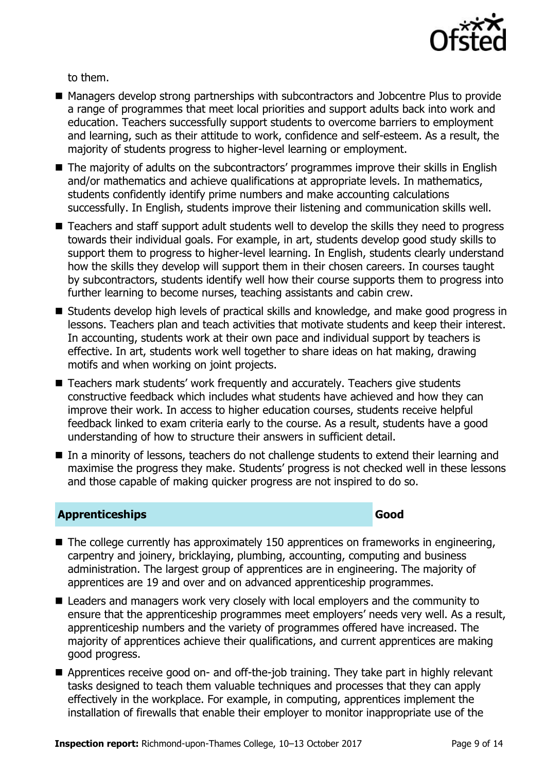

to them.

- Managers develop strong partnerships with subcontractors and Jobcentre Plus to provide a range of programmes that meet local priorities and support adults back into work and education. Teachers successfully support students to overcome barriers to employment and learning, such as their attitude to work, confidence and self-esteem. As a result, the majority of students progress to higher-level learning or employment.
- The majority of adults on the subcontractors' programmes improve their skills in English and/or mathematics and achieve qualifications at appropriate levels. In mathematics, students confidently identify prime numbers and make accounting calculations successfully. In English, students improve their listening and communication skills well.
- Teachers and staff support adult students well to develop the skills they need to progress towards their individual goals. For example, in art, students develop good study skills to support them to progress to higher-level learning. In English, students clearly understand how the skills they develop will support them in their chosen careers. In courses taught by subcontractors, students identify well how their course supports them to progress into further learning to become nurses, teaching assistants and cabin crew.
- Students develop high levels of practical skills and knowledge, and make good progress in lessons. Teachers plan and teach activities that motivate students and keep their interest. In accounting, students work at their own pace and individual support by teachers is effective. In art, students work well together to share ideas on hat making, drawing motifs and when working on joint projects.
- Teachers mark students' work frequently and accurately. Teachers give students constructive feedback which includes what students have achieved and how they can improve their work. In access to higher education courses, students receive helpful feedback linked to exam criteria early to the course. As a result, students have a good understanding of how to structure their answers in sufficient detail.
- In a minority of lessons, teachers do not challenge students to extend their learning and maximise the progress they make. Students' progress is not checked well in these lessons and those capable of making quicker progress are not inspired to do so.

## **Apprenticeships Good**

- $\blacksquare$  The college currently has approximately 150 apprentices on frameworks in engineering, carpentry and joinery, bricklaying, plumbing, accounting, computing and business administration. The largest group of apprentices are in engineering. The majority of apprentices are 19 and over and on advanced apprenticeship programmes.
- Leaders and managers work very closely with local employers and the community to ensure that the apprenticeship programmes meet employers' needs very well. As a result, apprenticeship numbers and the variety of programmes offered have increased. The majority of apprentices achieve their qualifications, and current apprentices are making good progress.
- Apprentices receive good on- and off-the-job training. They take part in highly relevant tasks designed to teach them valuable techniques and processes that they can apply effectively in the workplace. For example, in computing, apprentices implement the installation of firewalls that enable their employer to monitor inappropriate use of the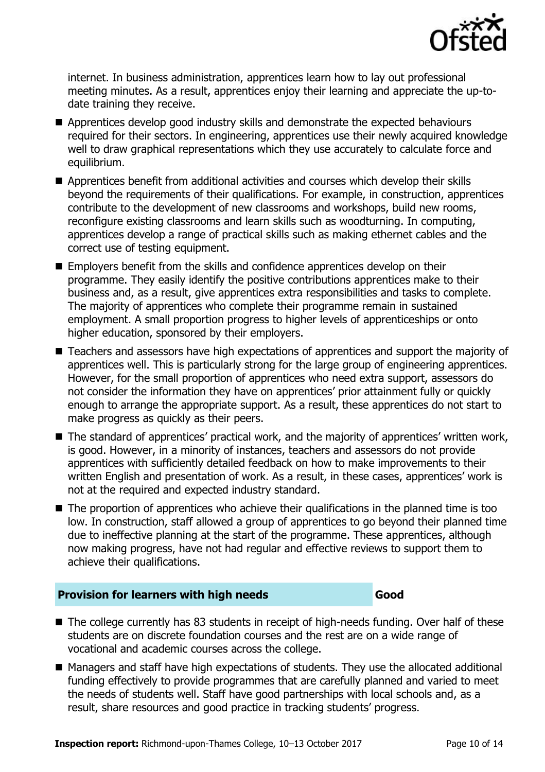

internet. In business administration, apprentices learn how to lay out professional meeting minutes. As a result, apprentices enjoy their learning and appreciate the up-todate training they receive.

- Apprentices develop good industry skills and demonstrate the expected behaviours required for their sectors. In engineering, apprentices use their newly acquired knowledge well to draw graphical representations which they use accurately to calculate force and equilibrium.
- Apprentices benefit from additional activities and courses which develop their skills beyond the requirements of their qualifications. For example, in construction, apprentices contribute to the development of new classrooms and workshops, build new rooms, reconfigure existing classrooms and learn skills such as woodturning. In computing, apprentices develop a range of practical skills such as making ethernet cables and the correct use of testing equipment.
- Employers benefit from the skills and confidence apprentices develop on their programme. They easily identify the positive contributions apprentices make to their business and, as a result, give apprentices extra responsibilities and tasks to complete. The majority of apprentices who complete their programme remain in sustained employment. A small proportion progress to higher levels of apprenticeships or onto higher education, sponsored by their employers.
- Teachers and assessors have high expectations of apprentices and support the majority of apprentices well. This is particularly strong for the large group of engineering apprentices. However, for the small proportion of apprentices who need extra support, assessors do not consider the information they have on apprentices' prior attainment fully or quickly enough to arrange the appropriate support. As a result, these apprentices do not start to make progress as quickly as their peers.
- The standard of apprentices' practical work, and the majority of apprentices' written work, is good. However, in a minority of instances, teachers and assessors do not provide apprentices with sufficiently detailed feedback on how to make improvements to their written English and presentation of work. As a result, in these cases, apprentices' work is not at the required and expected industry standard.
- The proportion of apprentices who achieve their qualifications in the planned time is too low. In construction, staff allowed a group of apprentices to go beyond their planned time due to ineffective planning at the start of the programme. These apprentices, although now making progress, have not had regular and effective reviews to support them to achieve their qualifications.

## **Provision for learners with high needs Good**

- The college currently has 83 students in receipt of high-needs funding. Over half of these students are on discrete foundation courses and the rest are on a wide range of vocational and academic courses across the college.
- Managers and staff have high expectations of students. They use the allocated additional funding effectively to provide programmes that are carefully planned and varied to meet the needs of students well. Staff have good partnerships with local schools and, as a result, share resources and good practice in tracking students' progress.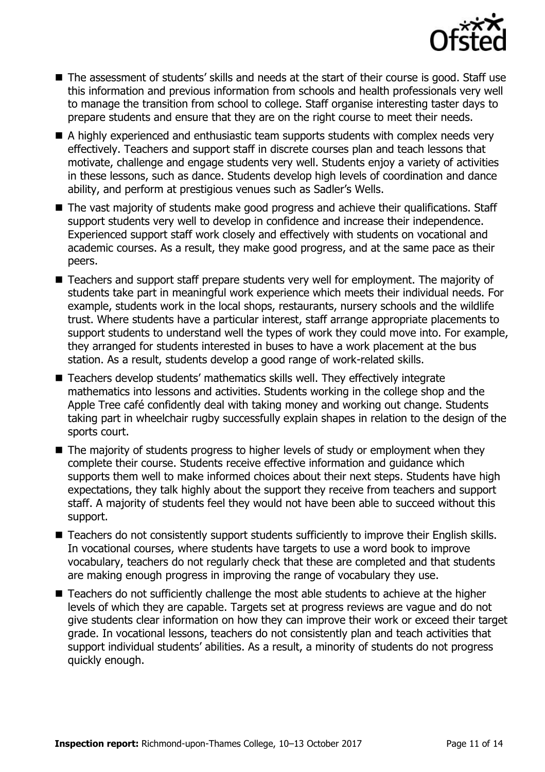

- The assessment of students' skills and needs at the start of their course is good. Staff use this information and previous information from schools and health professionals very well to manage the transition from school to college. Staff organise interesting taster days to prepare students and ensure that they are on the right course to meet their needs.
- A highly experienced and enthusiastic team supports students with complex needs very effectively. Teachers and support staff in discrete courses plan and teach lessons that motivate, challenge and engage students very well. Students enjoy a variety of activities in these lessons, such as dance. Students develop high levels of coordination and dance ability, and perform at prestigious venues such as Sadler's Wells.
- The vast majority of students make good progress and achieve their qualifications. Staff support students very well to develop in confidence and increase their independence. Experienced support staff work closely and effectively with students on vocational and academic courses. As a result, they make good progress, and at the same pace as their peers.
- Teachers and support staff prepare students very well for employment. The majority of students take part in meaningful work experience which meets their individual needs. For example, students work in the local shops, restaurants, nursery schools and the wildlife trust. Where students have a particular interest, staff arrange appropriate placements to support students to understand well the types of work they could move into. For example, they arranged for students interested in buses to have a work placement at the bus station. As a result, students develop a good range of work-related skills.
- Teachers develop students' mathematics skills well. They effectively integrate mathematics into lessons and activities. Students working in the college shop and the Apple Tree café confidently deal with taking money and working out change. Students taking part in wheelchair rugby successfully explain shapes in relation to the design of the sports court.
- The majority of students progress to higher levels of study or employment when they complete their course. Students receive effective information and guidance which supports them well to make informed choices about their next steps. Students have high expectations, they talk highly about the support they receive from teachers and support staff. A majority of students feel they would not have been able to succeed without this support.
- Teachers do not consistently support students sufficiently to improve their English skills. In vocational courses, where students have targets to use a word book to improve vocabulary, teachers do not regularly check that these are completed and that students are making enough progress in improving the range of vocabulary they use.
- Teachers do not sufficiently challenge the most able students to achieve at the higher levels of which they are capable. Targets set at progress reviews are vague and do not give students clear information on how they can improve their work or exceed their target grade. In vocational lessons, teachers do not consistently plan and teach activities that support individual students' abilities. As a result, a minority of students do not progress quickly enough.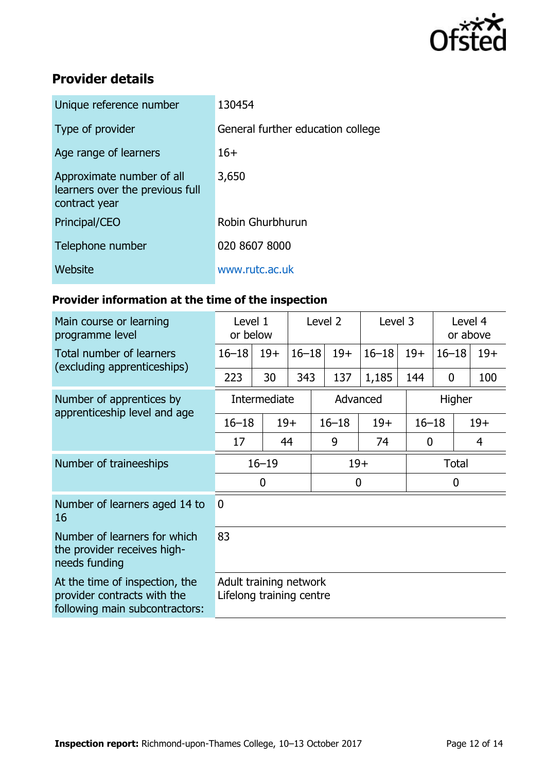

## **Provider details**

| Unique reference number                                                       | 130454                            |
|-------------------------------------------------------------------------------|-----------------------------------|
| Type of provider                                                              | General further education college |
| Age range of learners                                                         | $16+$                             |
| Approximate number of all<br>learners over the previous full<br>contract year | 3,650                             |
| Principal/CEO                                                                 | Robin Ghurbhurun                  |
| Telephone number                                                              | 020 8607 8000                     |
| Website                                                                       | www.rutc.ac.uk                    |
|                                                                               |                                   |

## **Provider information at the time of the inspection**

| Main course or learning<br>programme level                                                      | Level 1<br>or below                                |       | Level 2   |                  | Level 3 |           | Level 4<br>or above |             |       |
|-------------------------------------------------------------------------------------------------|----------------------------------------------------|-------|-----------|------------------|---------|-----------|---------------------|-------------|-------|
| Total number of learners<br>(excluding apprenticeships)                                         | $16 - 18$                                          | $19+$ | $16 - 18$ | $19+$            |         | $16 - 18$ | $19+$               | $16 - 18$   | $19+$ |
|                                                                                                 | 223                                                | 30    | 343       | 137              |         | 1,185     | 144                 | $\mathbf 0$ | 100   |
| Number of apprentices by                                                                        | Intermediate                                       |       |           | Advanced         |         |           |                     | Higher      |       |
| apprenticeship level and age                                                                    | $16 - 18$                                          |       | $19+$     | $16 - 18$        |         | $19+$     | $16 - 18$           |             | $19+$ |
|                                                                                                 | 17                                                 |       | 44        | 9                |         | 74        | $\mathbf 0$         |             | 4     |
| Number of traineeships                                                                          | $16 - 19$                                          |       |           | $19+$            |         |           | <b>Total</b>        |             |       |
|                                                                                                 | $\overline{0}$                                     |       |           | $\boldsymbol{0}$ |         |           | $\mathbf 0$         |             |       |
| Number of learners aged 14 to<br>16                                                             | $\mathbf{0}$                                       |       |           |                  |         |           |                     |             |       |
| Number of learners for which<br>the provider receives high-<br>needs funding                    | 83                                                 |       |           |                  |         |           |                     |             |       |
| At the time of inspection, the<br>provider contracts with the<br>following main subcontractors: | Adult training network<br>Lifelong training centre |       |           |                  |         |           |                     |             |       |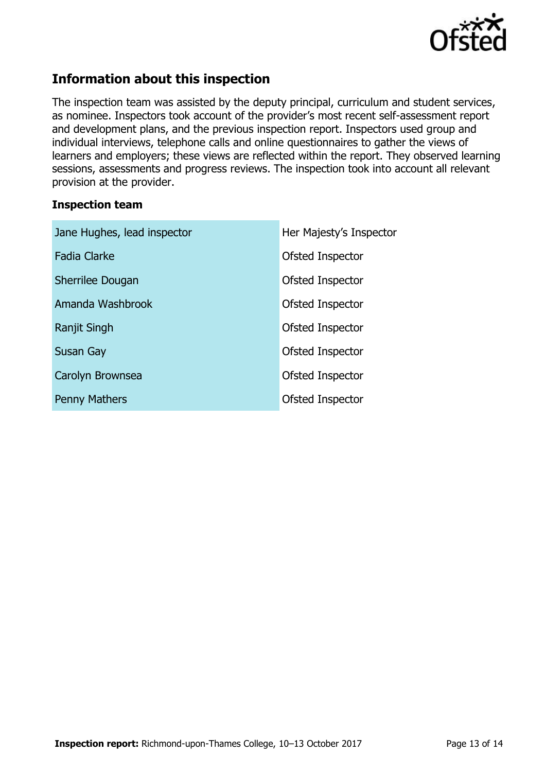

## **Information about this inspection**

The inspection team was assisted by the deputy principal, curriculum and student services, as nominee. Inspectors took account of the provider's most recent self-assessment report and development plans, and the previous inspection report. Inspectors used group and individual interviews, telephone calls and online questionnaires to gather the views of learners and employers; these views are reflected within the report. They observed learning sessions, assessments and progress reviews. The inspection took into account all relevant provision at the provider.

## **Inspection team**

| Jane Hughes, lead inspector | Her Majesty's Inspector |
|-----------------------------|-------------------------|
| <b>Fadia Clarke</b>         | Ofsted Inspector        |
| Sherrilee Dougan            | Ofsted Inspector        |
| Amanda Washbrook            | Ofsted Inspector        |
| Ranjit Singh                | Ofsted Inspector        |
| Susan Gay                   | Ofsted Inspector        |
| Carolyn Brownsea            | Ofsted Inspector        |
| <b>Penny Mathers</b>        | Ofsted Inspector        |